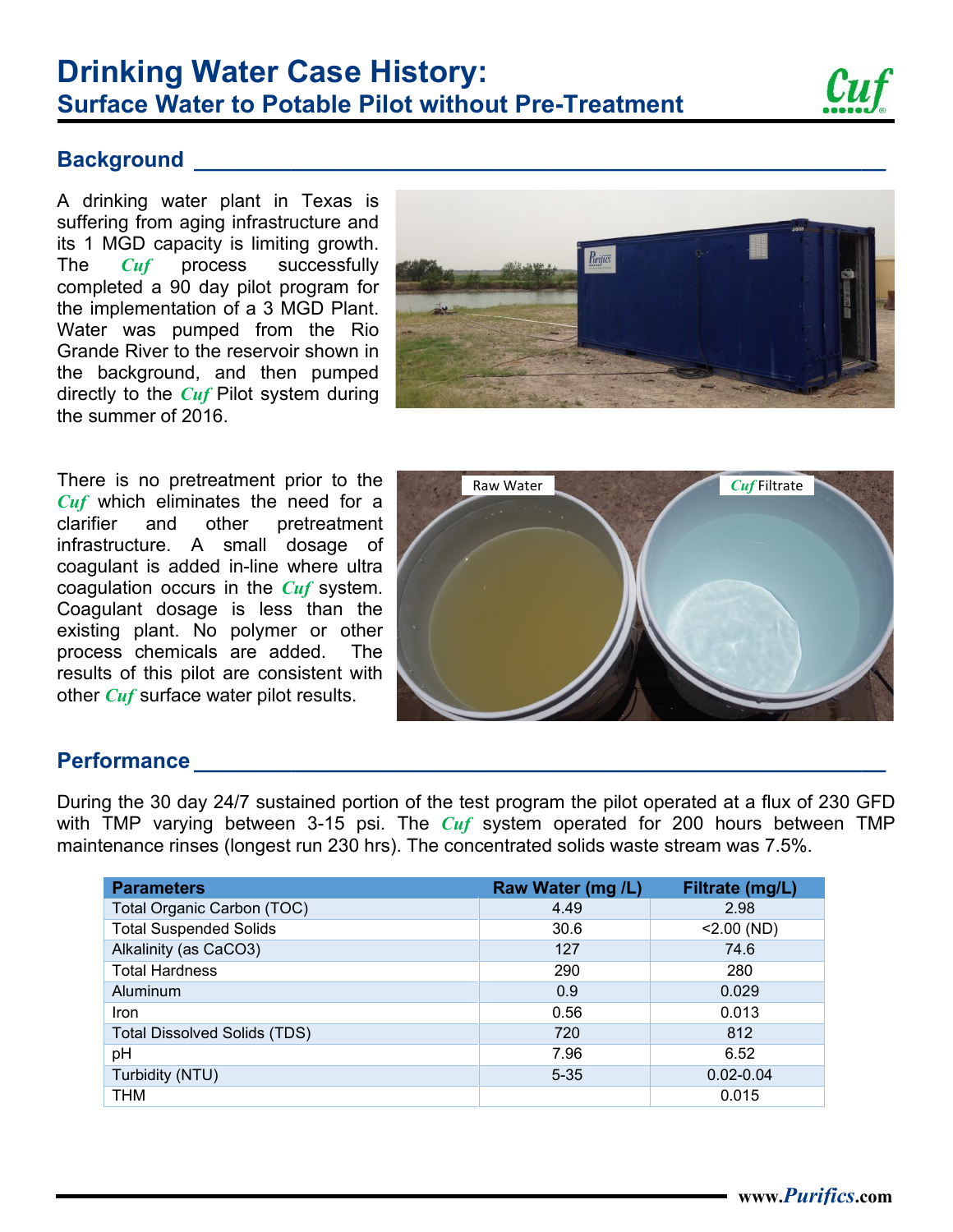# **Surface Water to Potable Pilot without Pre-Treatment Drinking Water Case History:**



## **Background**

A drinking water plant in Texas is suffering from aging infrastructure and its 1 MGD capacity is limiting growth. The *Cuf* process successfully completed a 90 day pilot program for the implementation of a 3 MGD Plant. Water was pumped from the Rio Grande River to the reservoir shown in the background, and then pumped directly to the *Cuf* Pilot system during the summer of 2016.



There is no pretreatment prior to the *Cuf* which eliminates the need for a clarifier and other pretreatment infrastructure. A small dosage of coagulant is added in-line where ultra coagulation occurs in the *Cuf* system. Coagulant dosage is less than the existing plant. No polymer or other process chemicals are added. The results of this pilot are consistent with other *Cuf* surface water pilot results.



#### **Performance \_\_\_\_\_\_\_\_\_\_\_\_\_\_\_\_\_\_\_\_\_\_\_\_\_\_\_\_\_\_\_\_\_\_\_\_\_\_\_\_\_\_\_\_\_\_\_\_\_\_\_\_\_\_\_\_\_**

During the 30 day 24/7 sustained portion of the test program the pilot operated at a flux of 230 GFD with TMP varying between 3-15 psi. The *Cuf* system operated for 200 hours between TMP maintenance rinses (longest run 230 hrs). The concentrated solids waste stream was 7.5%.

| <b>Parameters</b>                   | Raw Water (mg /L) | Filtrate (mg/L) |
|-------------------------------------|-------------------|-----------------|
| Total Organic Carbon (TOC)          | 4.49              | 2.98            |
| <b>Total Suspended Solids</b>       | 30.6              | $<$ 2.00 (ND)   |
| Alkalinity (as CaCO3)               | 127               | 74.6            |
| <b>Total Hardness</b>               | 290               | 280             |
| Aluminum                            | 0.9               | 0.029           |
| <b>Iron</b>                         | 0.56              | 0.013           |
| <b>Total Dissolved Solids (TDS)</b> | 720               | 812             |
| pH                                  | 7.96              | 6.52            |
| Turbidity (NTU)                     | $5 - 35$          | $0.02 - 0.04$   |
| THM                                 |                   | 0.015           |